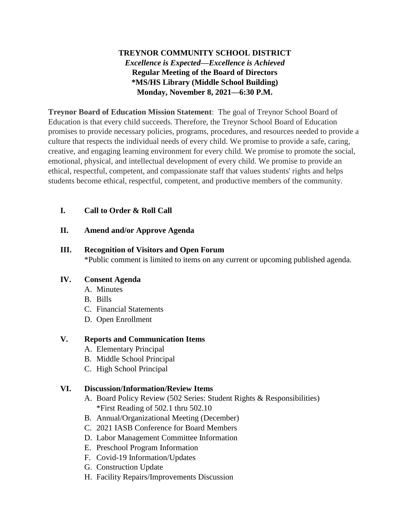# **TREYNOR COMMUNITY SCHOOL DISTRICT** *Excellence is Expected—Excellence is Achieved* **Regular Meeting of the Board of Directors \*MS/HS Library (Middle School Building) Monday, November 8, 2021—6:30 P.M.**

**Treynor Board of Education Mission Statement**: The goal of Treynor School Board of Education is that every child succeeds. Therefore, the Treynor School Board of Education promises to provide necessary policies, programs, procedures, and resources needed to provide a culture that respects the individual needs of every child. We promise to provide a safe, caring, creative, and engaging learning environment for every child. We promise to promote the social, emotional, physical, and intellectual development of every child. We promise to provide an ethical, respectful, competent, and compassionate staff that values students' rights and helps students become ethical, respectful, competent, and productive members of the community.

## **I. Call to Order & Roll Call**

### **II. Amend and/or Approve Agenda**

### **III. Recognition of Visitors and Open Forum**

\*Public comment is limited to items on any current or upcoming published agenda.

### **IV. Consent Agenda**

- A. Minutes
- B. Bills
- C. Financial Statements
- D. Open Enrollment

### **V. Reports and Communication Items**

- A. Elementary Principal
- B. Middle School Principal
- C. High School Principal

## **VI. Discussion/Information/Review Items**

- A. Board Policy Review (502 Series: Student Rights & Responsibilities) \*First Reading of 502.1 thru 502.10
- B. Annual/Organizational Meeting (December)
- C. 2021 IASB Conference for Board Members
- D. Labor Management Committee Information
- E. Preschool Program Information
- F. Covid-19 Information/Updates
- G. Construction Update
- H. Facility Repairs/Improvements Discussion